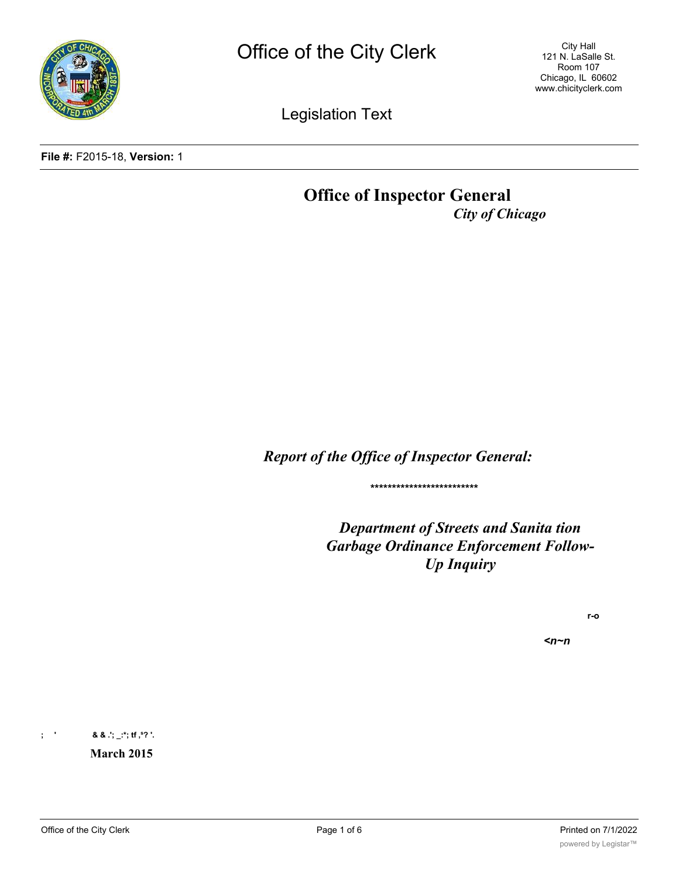

City Hall 121 N. LaSalle St. Room 107 Chicago, IL 60602 www.chicityclerk.com

Legislation Text

**File #:** F2015-18, **Version:** 1

# **Office of Inspector General** *City of Chicago*

*Report of the Office of Inspector General:*

**\*\*\*\*\*\*\*\*\*\*\*\*\*\*\*\*\*\*\*\*\*\*\*\*\***

*Department of Streets and Sanita tion Garbage Ordinance Enforcement Follow-Up Inquiry*

**r-o**

*<n~n*

**; ' & & .'; \_:\*; tf ,s? '.**

**March 2015**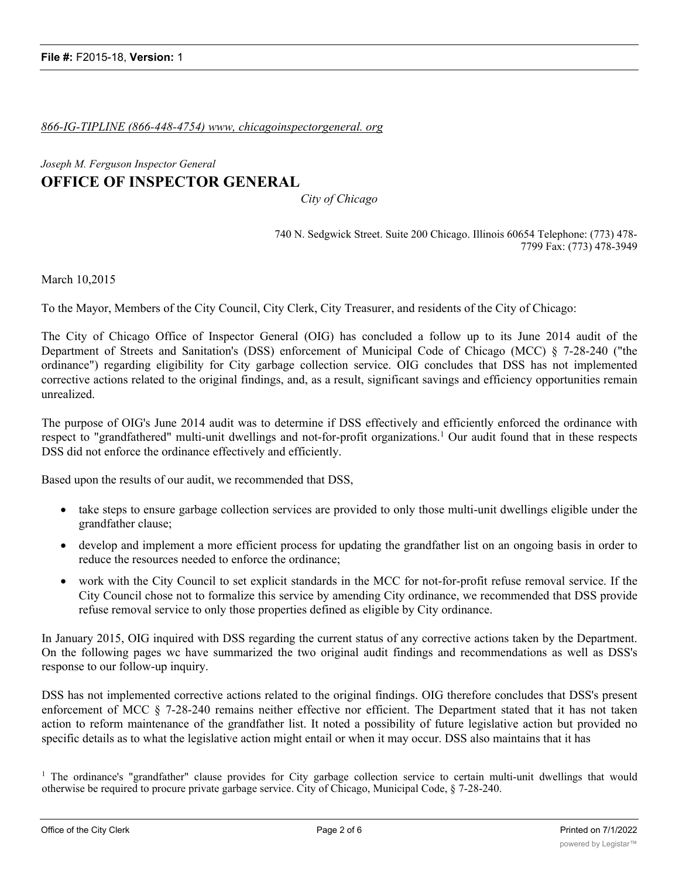### *866-IG-TIPLINE (866-448-4754) www, chicagoinspectorgeneral. org*

## *Joseph M. Ferguson Inspector General* **OFFICE OF INSPECTOR GENERAL**

*City of Chicago*

740 N. Sedgwick Street. Suite 200 Chicago. Illinois 60654 Telephone: (773) 478- 7799 Fax: (773) 478-3949

March 10,2015

To the Mayor, Members of the City Council, City Clerk, City Treasurer, and residents of the City of Chicago:

The City of Chicago Office of Inspector General (OIG) has concluded a follow up to its June 2014 audit of the Department of Streets and Sanitation's (DSS) enforcement of Municipal Code of Chicago (MCC) § 7-28-240 ("the ordinance") regarding eligibility for City garbage collection service. OIG concludes that DSS has not implemented corrective actions related to the original findings, and, as a result, significant savings and efficiency opportunities remain unrealized.

The purpose of OIG's June 2014 audit was to determine if DSS effectively and efficiently enforced the ordinance with respect to "grandfathered" multi-unit dwellings and not-for-profit organizations.1 Our audit found that in these respects DSS did not enforce the ordinance effectively and efficiently.

Based upon the results of our audit, we recommended that DSS,

- · take steps to ensure garbage collection services are provided to only those multi-unit dwellings eligible under the grandfather clause;
- · develop and implement a more efficient process for updating the grandfather list on an ongoing basis in order to reduce the resources needed to enforce the ordinance;
- · work with the City Council to set explicit standards in the MCC for not-for-profit refuse removal service. If the City Council chose not to formalize this service by amending City ordinance, we recommended that DSS provide refuse removal service to only those properties defined as eligible by City ordinance.

In January 2015, OIG inquired with DSS regarding the current status of any corrective actions taken by the Department. On the following pages wc have summarized the two original audit findings and recommendations as well as DSS's response to our follow-up inquiry.

DSS has not implemented corrective actions related to the original findings. OIG therefore concludes that DSS's present enforcement of MCC § 7-28-240 remains neither effective nor efficient. The Department stated that it has not taken action to reform maintenance of the grandfather list. It noted a possibility of future legislative action but provided no specific details as to what the legislative action might entail or when it may occur. DSS also maintains that it has

<sup>&</sup>lt;sup>1</sup> The ordinance's "grandfather" clause provides for City garbage collection service to certain multi-unit dwellings that would otherwise be required to procure private garbage service. City of Chicago, Municipal Code, § 7-28-240.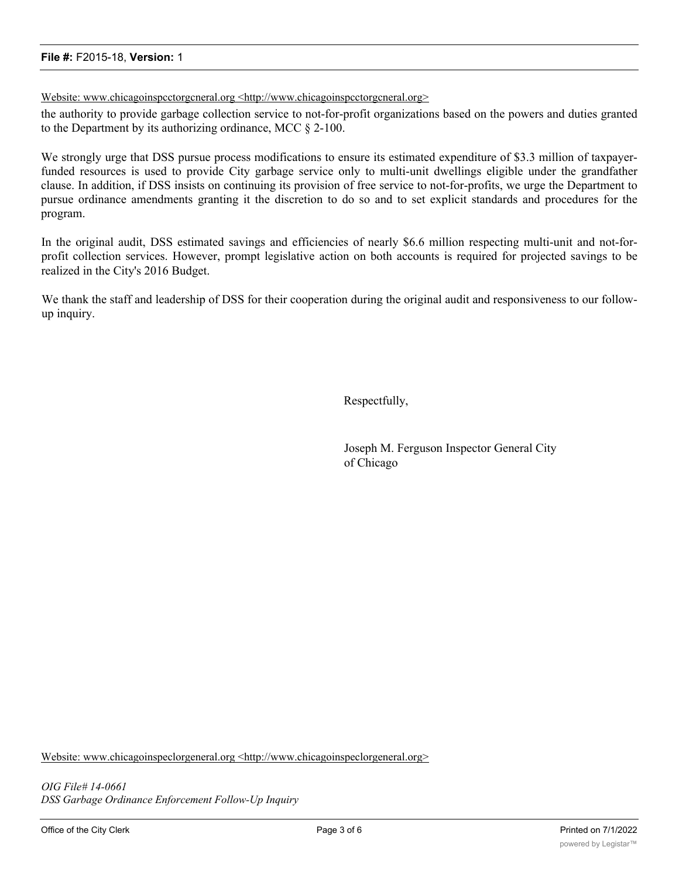#### **File #:** F2015-18, **Version:** 1

Website: www.chicagoinspcctorgcneral.org <http://www.chicagoinspcctorgcneral.org>

the authority to provide garbage collection service to not-for-profit organizations based on the powers and duties granted to the Department by its authorizing ordinance, MCC § 2-100.

We strongly urge that DSS pursue process modifications to ensure its estimated expenditure of \$3.3 million of taxpayerfunded resources is used to provide City garbage service only to multi-unit dwellings eligible under the grandfather clause. In addition, if DSS insists on continuing its provision of free service to not-for-profits, we urge the Department to pursue ordinance amendments granting it the discretion to do so and to set explicit standards and procedures for the program.

In the original audit, DSS estimated savings and efficiencies of nearly \$6.6 million respecting multi-unit and not-forprofit collection services. However, prompt legislative action on both accounts is required for projected savings to be realized in the City's 2016 Budget.

We thank the staff and leadership of DSS for their cooperation during the original audit and responsiveness to our followup inquiry.

Respectfully,

Joseph M. Ferguson Inspector General City of Chicago

Website: www.chicagoinspeclorgeneral.org <http://www.chicagoinspeclorgeneral.org>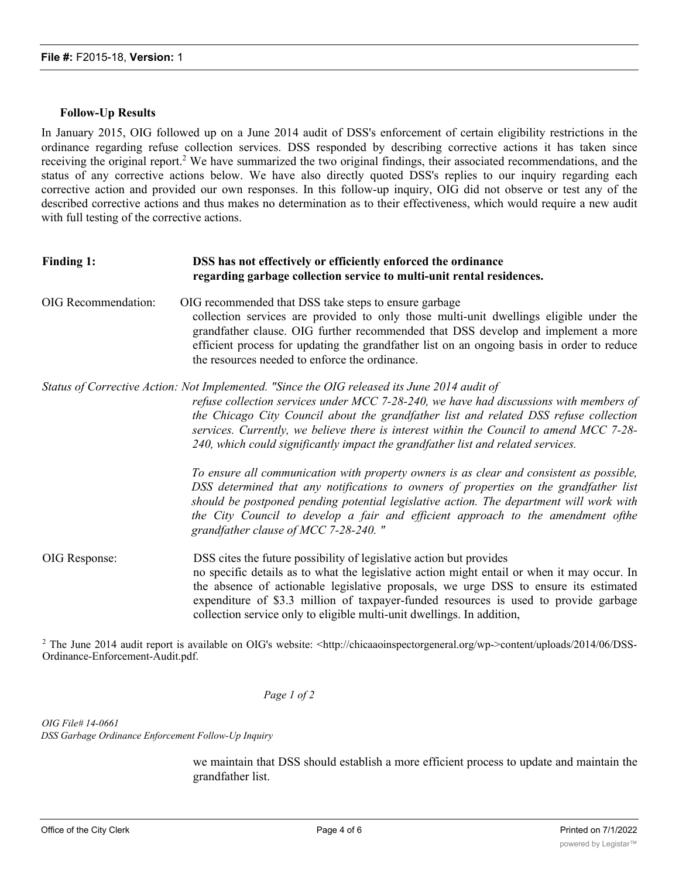#### **Follow-Up Results**

In January 2015, OIG followed up on a June 2014 audit of DSS's enforcement of certain eligibility restrictions in the ordinance regarding refuse collection services. DSS responded by describing corrective actions it has taken since receiving the original report.<sup>2</sup> We have summarized the two original findings, their associated recommendations, and the status of any corrective actions below. We have also directly quoted DSS's replies to our inquiry regarding each corrective action and provided our own responses. In this follow-up inquiry, OIG did not observe or test any of the described corrective actions and thus makes no determination as to their effectiveness, which would require a new audit with full testing of the corrective actions.

| Finding 1:          | DSS has not effectively or efficiently enforced the ordinance<br>regarding garbage collection service to multi-unit rental residences.                                                                                                                                                                                                                                                                                                                         |  |
|---------------------|----------------------------------------------------------------------------------------------------------------------------------------------------------------------------------------------------------------------------------------------------------------------------------------------------------------------------------------------------------------------------------------------------------------------------------------------------------------|--|
| OIG Recommendation: | OIG recommended that DSS take steps to ensure garbage<br>collection services are provided to only those multi-unit dwellings eligible under the<br>grandfather clause. OIG further recommended that DSS develop and implement a more<br>efficient process for updating the grandfather list on an ongoing basis in order to reduce<br>the resources needed to enforce the ordinance.                                                                           |  |
|                     | Status of Corrective Action: Not Implemented. "Since the OIG released its June 2014 audit of<br>refuse collection services under MCC 7-28-240, we have had discussions with members of<br>the Chicago City Council about the grandfather list and related DSS refuse collection<br>services. Currently, we believe there is interest within the Council to amend MCC 7-28-<br>240, which could significantly impact the grandfather list and related services. |  |
|                     | To ensure all communication with property owners is as clear and consistent as possible,<br>DSS determined that any notifications to owners of properties on the grandfather list<br>should be postponed pending potential legislative action. The department will work with<br>the City Council to develop a fair and efficient approach to the amendment ofthe<br>grandfather clause of MCC 7-28-240."                                                       |  |
| OIG Response:       | DSS cites the future possibility of legislative action but provides<br>no specific details as to what the legislative action might entail or when it may occur. In<br>the absence of actionable legislative proposals, we urge DSS to ensure its estimated<br>expenditure of \$3.3 million of taxpayer-funded resources is used to provide garbage<br>collection service only to eligible multi-unit dwellings. In addition,                                   |  |

<sup>2</sup> The June 2014 audit report is available on OIG's website:  $\langle \text{http://chicaaoinspectorgeneral.org/wp} \rangle$  content/uploads/2014/06/DSS-Ordinance-Enforcement-Audit.pdf.

#### *Page 1 of 2*

*OIG File# 14-0661 DSS Garbage Ordinance Enforcement Follow-Up Inquiry*

> we maintain that DSS should establish a more efficient process to update and maintain the grandfather list.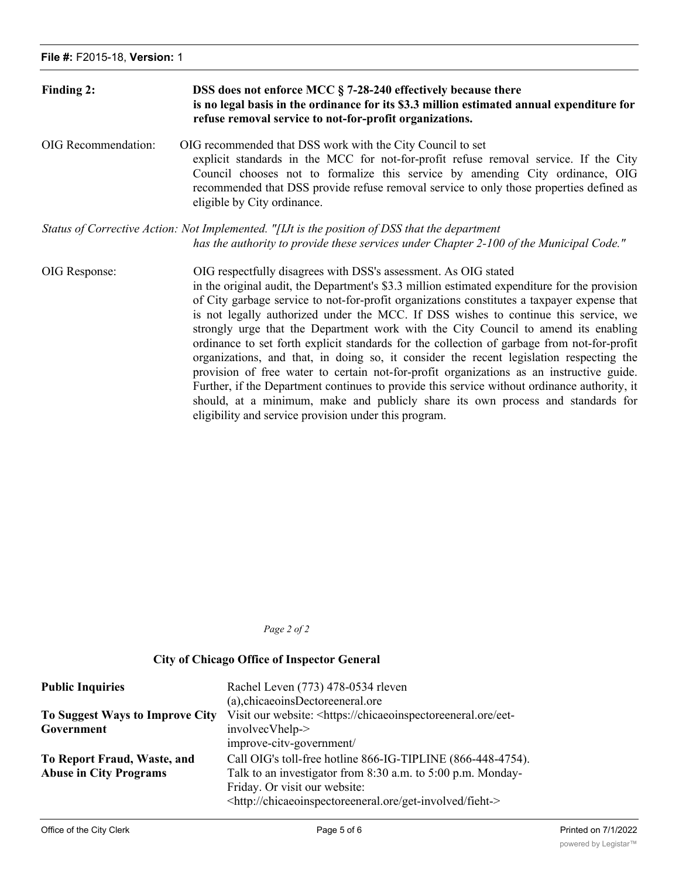| Finding 2:          | DSS does not enforce MCC § 7-28-240 effectively because there<br>is no legal basis in the ordinance for its \$3.3 million estimated annual expenditure for<br>refuse removal service to not-for-profit organizations.                                                                                                                                                                                                                                                                                                                                                                                                                                                                                                              |
|---------------------|------------------------------------------------------------------------------------------------------------------------------------------------------------------------------------------------------------------------------------------------------------------------------------------------------------------------------------------------------------------------------------------------------------------------------------------------------------------------------------------------------------------------------------------------------------------------------------------------------------------------------------------------------------------------------------------------------------------------------------|
| OIG Recommendation: | OIG recommended that DSS work with the City Council to set<br>explicit standards in the MCC for not-for-profit refuse removal service. If the City<br>Council chooses not to formalize this service by amending City ordinance, OIG<br>recommended that DSS provide refuse removal service to only those properties defined as<br>eligible by City ordinance.                                                                                                                                                                                                                                                                                                                                                                      |
|                     | Status of Corrective Action: Not Implemented. "[IJt is the position of DSS that the department<br>has the authority to provide these services under Chapter 2-100 of the Municipal Code."                                                                                                                                                                                                                                                                                                                                                                                                                                                                                                                                          |
| OIG Response:       | OIG respectfully disagrees with DSS's assessment. As OIG stated<br>in the original audit, the Department's \$3.3 million estimated expenditure for the provision<br>of City garbage service to not-for-profit organizations constitutes a taxpayer expense that<br>is not legally authorized under the MCC. If DSS wishes to continue this service, we<br>strongly urge that the Department work with the City Council to amend its enabling<br>ordinance to set forth explicit standards for the collection of garbage from not-for-profit<br>organizations, and that, in doing so, it consider the recent legislation respecting the<br>provision of free water to certain not-for-profit organizations as an instructive guide. |

eligibility and service provision under this program.

Further, if the Department continues to provide this service without ordinance authority, it should, at a minimum, make and publicly share its own process and standards for

*Page 2 of 2*

#### **City of Chicago Office of Inspector General**

| <b>Public Inquiries</b>         | Rachel Leven (773) 478-0534 rleven                                                 |
|---------------------------------|------------------------------------------------------------------------------------|
|                                 | (a), chicaeoins Dectore eneral ore                                                 |
| To Suggest Ways to Improve City | Visit our website: <https: chicaeoinspectoreeneral.ore="" eet-<="" th=""></https:> |
| Government                      | involvecVhelp->                                                                    |
|                                 | improve-citv-government/                                                           |
| To Report Fraud, Waste, and     | Call OIG's toll-free hotline 866-IG-TIPLINE (866-448-4754).                        |
| <b>Abuse in City Programs</b>   | Talk to an investigator from 8:30 a.m. to 5:00 p.m. Monday-                        |
|                                 | Friday. Or visit our website:                                                      |
|                                 | <http: chicaeoinspectoreeneral.ore="" fieht-="" get-involved=""></http:>           |

waste-fraud-and-abuse/